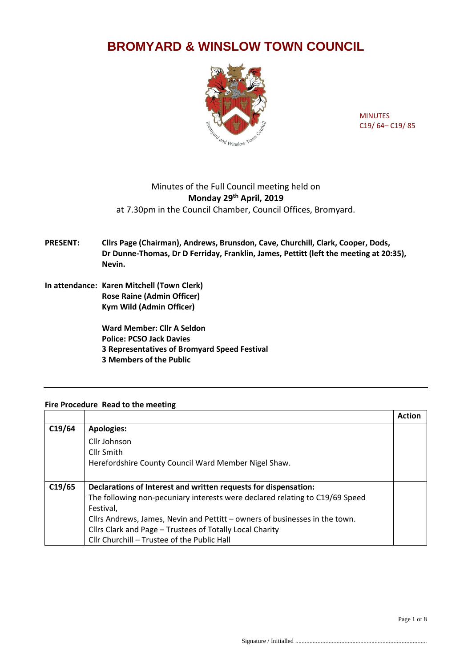# **BROMYARD & WINSLOW TOWN COUNCIL**



MINUTES C19/ 64– C19/ 85

# Minutes of the Full Council meeting held on **Monday 29th April, 2019** at 7.30pm in the Council Chamber, Council Offices, Bromyard.

## **PRESENT: Cllrs Page (Chairman), Andrews, Brunsdon, Cave, Churchill, Clark, Cooper, Dods, Dr Dunne-Thomas, Dr D Ferriday, Franklin, James, Pettitt (left the meeting at 20:35), Nevin.**

**In attendance: Karen Mitchell (Town Clerk) Rose Raine (Admin Officer) Kym Wild (Admin Officer)**

> **Ward Member: Cllr A Seldon Police: PCSO Jack Davies 3 Representatives of Bromyard Speed Festival 3 Members of the Public**

### **Fire Procedure Read to the meeting**

|        |                                                                              | <b>Action</b> |
|--------|------------------------------------------------------------------------------|---------------|
| C19/64 | <b>Apologies:</b>                                                            |               |
|        | Cllr Johnson                                                                 |               |
|        | Cllr Smith                                                                   |               |
|        | Herefordshire County Council Ward Member Nigel Shaw.                         |               |
|        |                                                                              |               |
| C19/65 | Declarations of Interest and written requests for dispensation:              |               |
|        | The following non-pecuniary interests were declared relating to C19/69 Speed |               |
|        | Festival,                                                                    |               |
|        | Cllrs Andrews, James, Nevin and Pettitt - owners of businesses in the town.  |               |
|        | Cllrs Clark and Page - Trustees of Totally Local Charity                     |               |
|        | Cllr Churchill - Trustee of the Public Hall                                  |               |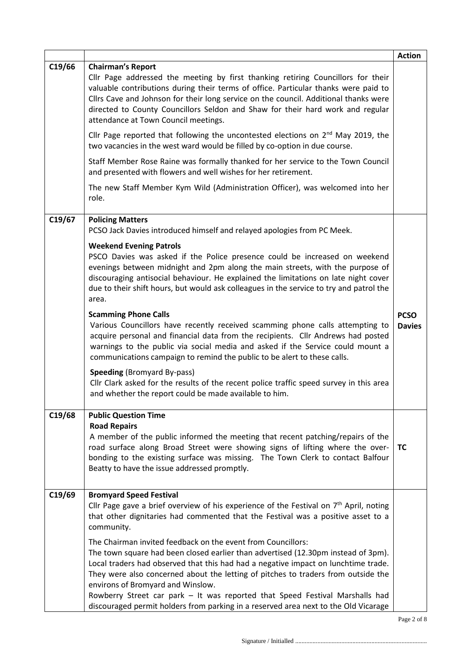|        |                                                                                                                                                                                                                                                                                                                                                                                                                                                                                                                                          | <b>Action</b>                |
|--------|------------------------------------------------------------------------------------------------------------------------------------------------------------------------------------------------------------------------------------------------------------------------------------------------------------------------------------------------------------------------------------------------------------------------------------------------------------------------------------------------------------------------------------------|------------------------------|
| C19/66 | <b>Chairman's Report</b><br>Cllr Page addressed the meeting by first thanking retiring Councillors for their<br>valuable contributions during their terms of office. Particular thanks were paid to<br>Cllrs Cave and Johnson for their long service on the council. Additional thanks were<br>directed to County Councillors Seldon and Shaw for their hard work and regular<br>attendance at Town Council meetings.                                                                                                                    |                              |
|        | Cllr Page reported that following the uncontested elections on 2 <sup>nd</sup> May 2019, the<br>two vacancies in the west ward would be filled by co-option in due course.                                                                                                                                                                                                                                                                                                                                                               |                              |
|        | Staff Member Rose Raine was formally thanked for her service to the Town Council<br>and presented with flowers and well wishes for her retirement.                                                                                                                                                                                                                                                                                                                                                                                       |                              |
|        | The new Staff Member Kym Wild (Administration Officer), was welcomed into her<br>role.                                                                                                                                                                                                                                                                                                                                                                                                                                                   |                              |
| C19/67 | <b>Policing Matters</b><br>PCSO Jack Davies introduced himself and relayed apologies from PC Meek.                                                                                                                                                                                                                                                                                                                                                                                                                                       |                              |
|        | <b>Weekend Evening Patrols</b><br>PSCO Davies was asked if the Police presence could be increased on weekend<br>evenings between midnight and 2pm along the main streets, with the purpose of<br>discouraging antisocial behaviour. He explained the limitations on late night cover<br>due to their shift hours, but would ask colleagues in the service to try and patrol the<br>area.                                                                                                                                                 |                              |
|        | <b>Scamming Phone Calls</b><br>Various Councillors have recently received scamming phone calls attempting to<br>acquire personal and financial data from the recipients. Cllr Andrews had posted<br>warnings to the public via social media and asked if the Service could mount a<br>communications campaign to remind the public to be alert to these calls.                                                                                                                                                                           | <b>PCSO</b><br><b>Davies</b> |
|        | <b>Speeding (Bromyard By-pass)</b><br>Cllr Clark asked for the results of the recent police traffic speed survey in this area<br>and whether the report could be made available to him.                                                                                                                                                                                                                                                                                                                                                  |                              |
| C19/68 | <b>Public Question Time</b>                                                                                                                                                                                                                                                                                                                                                                                                                                                                                                              |                              |
|        | <b>Road Repairs</b><br>A member of the public informed the meeting that recent patching/repairs of the<br>road surface along Broad Street were showing signs of lifting where the over-<br>bonding to the existing surface was missing. The Town Clerk to contact Balfour<br>Beatty to have the issue addressed promptly.                                                                                                                                                                                                                | ТC                           |
| C19/69 | <b>Bromyard Speed Festival</b><br>Cllr Page gave a brief overview of his experience of the Festival on $7th$ April, noting<br>that other dignitaries had commented that the Festival was a positive asset to a<br>community.                                                                                                                                                                                                                                                                                                             |                              |
|        | The Chairman invited feedback on the event from Councillors:<br>The town square had been closed earlier than advertised (12.30pm instead of 3pm).<br>Local traders had observed that this had had a negative impact on lunchtime trade.<br>They were also concerned about the letting of pitches to traders from outside the<br>environs of Bromyard and Winslow.<br>Rowberry Street car park - It was reported that Speed Festival Marshalls had<br>discouraged permit holders from parking in a reserved area next to the Old Vicarage |                              |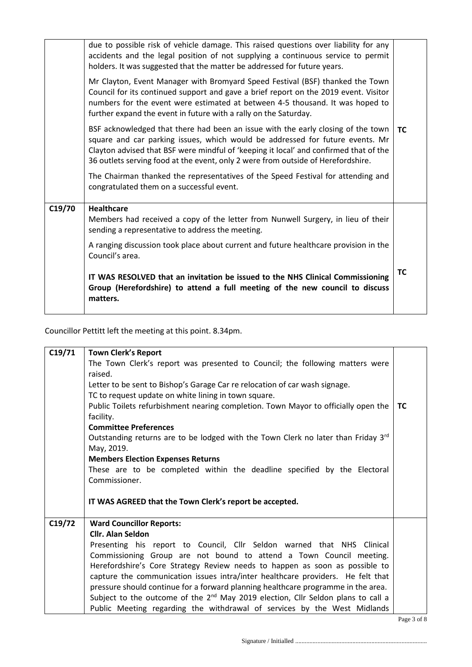|        | due to possible risk of vehicle damage. This raised questions over liability for any<br>accidents and the legal position of not supplying a continuous service to permit<br>holders. It was suggested that the matter be addressed for future years.<br>Mr Clayton, Event Manager with Bromyard Speed Festival (BSF) thanked the Town<br>Council for its continued support and gave a brief report on the 2019 event. Visitor<br>numbers for the event were estimated at between 4-5 thousand. It was hoped to<br>further expand the event in future with a rally on the Saturday. |           |
|--------|------------------------------------------------------------------------------------------------------------------------------------------------------------------------------------------------------------------------------------------------------------------------------------------------------------------------------------------------------------------------------------------------------------------------------------------------------------------------------------------------------------------------------------------------------------------------------------|-----------|
|        | BSF acknowledged that there had been an issue with the early closing of the town<br>square and car parking issues, which would be addressed for future events. Mr<br>Clayton advised that BSF were mindful of 'keeping it local' and confirmed that of the<br>36 outlets serving food at the event, only 2 were from outside of Herefordshire.                                                                                                                                                                                                                                     | <b>TC</b> |
|        | The Chairman thanked the representatives of the Speed Festival for attending and<br>congratulated them on a successful event.                                                                                                                                                                                                                                                                                                                                                                                                                                                      |           |
| C19/70 | <b>Healthcare</b><br>Members had received a copy of the letter from Nunwell Surgery, in lieu of their<br>sending a representative to address the meeting.                                                                                                                                                                                                                                                                                                                                                                                                                          |           |
|        | A ranging discussion took place about current and future healthcare provision in the<br>Council's area.                                                                                                                                                                                                                                                                                                                                                                                                                                                                            |           |
|        | IT WAS RESOLVED that an invitation be issued to the NHS Clinical Commissioning<br>Group (Herefordshire) to attend a full meeting of the new council to discuss<br>matters.                                                                                                                                                                                                                                                                                                                                                                                                         | TC        |

Councillor Pettitt left the meeting at this point. 8.34pm.

| C19/71 | <b>Town Clerk's Report</b>                                                                   |                        |
|--------|----------------------------------------------------------------------------------------------|------------------------|
|        | The Town Clerk's report was presented to Council; the following matters were                 |                        |
|        | raised.                                                                                      |                        |
|        | Letter to be sent to Bishop's Garage Car re relocation of car wash signage.                  |                        |
|        | TC to request update on white lining in town square.                                         |                        |
|        | Public Toilets refurbishment nearing completion. Town Mayor to officially open the           | <b>TC</b>              |
|        | facility.                                                                                    |                        |
|        | <b>Committee Preferences</b>                                                                 |                        |
|        | Outstanding returns are to be lodged with the Town Clerk no later than Friday $3rd$          |                        |
|        | May, 2019.                                                                                   |                        |
|        | <b>Members Election Expenses Returns</b>                                                     |                        |
|        | These are to be completed within the deadline specified by the Electoral                     |                        |
|        | Commissioner.                                                                                |                        |
|        |                                                                                              |                        |
|        | IT WAS AGREED that the Town Clerk's report be accepted.                                      |                        |
|        |                                                                                              |                        |
| C19/72 | <b>Ward Councillor Reports:</b>                                                              |                        |
|        | <b>Cllr. Alan Seldon</b>                                                                     |                        |
|        | Presenting his report to Council, Cllr Seldon warned that NHS Clinical                       |                        |
|        | Commissioning Group are not bound to attend a Town Council meeting.                          |                        |
|        | Herefordshire's Core Strategy Review needs to happen as soon as possible to                  |                        |
|        | capture the communication issues intra/inter healthcare providers. He felt that              |                        |
|        | pressure should continue for a forward planning healthcare programme in the area.            |                        |
|        | Subject to the outcome of the 2 <sup>nd</sup> May 2019 election, Cllr Seldon plans to call a |                        |
|        | Public Meeting regarding the withdrawal of services by the West Midlands                     |                        |
|        |                                                                                              | $D_{0.02}$ $2.0$ $6.0$ |

Page 3 of 8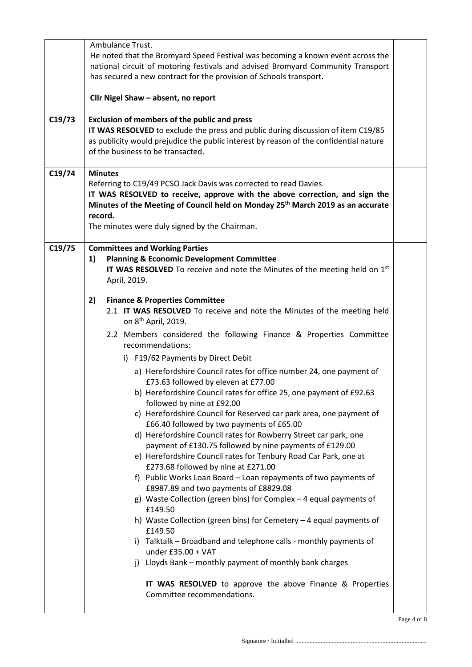| Ambulance Trust.                                                                                                                                                                                                                                                                                                                                                                                                                                                                                                                                                                                                                                                                                                                                                                                                                                                                                                                                                                                                                                                                                                                                                                                                                                                                                                                                                                      |  |  |  |
|---------------------------------------------------------------------------------------------------------------------------------------------------------------------------------------------------------------------------------------------------------------------------------------------------------------------------------------------------------------------------------------------------------------------------------------------------------------------------------------------------------------------------------------------------------------------------------------------------------------------------------------------------------------------------------------------------------------------------------------------------------------------------------------------------------------------------------------------------------------------------------------------------------------------------------------------------------------------------------------------------------------------------------------------------------------------------------------------------------------------------------------------------------------------------------------------------------------------------------------------------------------------------------------------------------------------------------------------------------------------------------------|--|--|--|
| He noted that the Bromyard Speed Festival was becoming a known event across the<br>national circuit of motoring festivals and advised Bromyard Community Transport<br>has secured a new contract for the provision of Schools transport.                                                                                                                                                                                                                                                                                                                                                                                                                                                                                                                                                                                                                                                                                                                                                                                                                                                                                                                                                                                                                                                                                                                                              |  |  |  |
| Cllr Nigel Shaw - absent, no report                                                                                                                                                                                                                                                                                                                                                                                                                                                                                                                                                                                                                                                                                                                                                                                                                                                                                                                                                                                                                                                                                                                                                                                                                                                                                                                                                   |  |  |  |
| <b>Exclusion of members of the public and press</b><br>IT WAS RESOLVED to exclude the press and public during discussion of item C19/85<br>as publicity would prejudice the public interest by reason of the confidential nature<br>of the business to be transacted.                                                                                                                                                                                                                                                                                                                                                                                                                                                                                                                                                                                                                                                                                                                                                                                                                                                                                                                                                                                                                                                                                                                 |  |  |  |
| <b>Minutes</b><br>Referring to C19/49 PCSO Jack Davis was corrected to read Davies.<br>IT WAS RESOLVED to receive, approve with the above correction, and sign the<br>Minutes of the Meeting of Council held on Monday 25 <sup>th</sup> March 2019 as an accurate<br>record.<br>The minutes were duly signed by the Chairman.                                                                                                                                                                                                                                                                                                                                                                                                                                                                                                                                                                                                                                                                                                                                                                                                                                                                                                                                                                                                                                                         |  |  |  |
| <b>Committees and Working Parties</b><br><b>Planning &amp; Economic Development Committee</b><br>1)<br>IT WAS RESOLVED To receive and note the Minutes of the meeting held on 1st<br>April, 2019.                                                                                                                                                                                                                                                                                                                                                                                                                                                                                                                                                                                                                                                                                                                                                                                                                                                                                                                                                                                                                                                                                                                                                                                     |  |  |  |
| 2)<br><b>Finance &amp; Properties Committee</b><br>2.1 IT WAS RESOLVED To receive and note the Minutes of the meeting held<br>on 8 <sup>th</sup> April, 2019.<br>2.2 Members considered the following Finance & Properties Committee<br>recommendations:<br>i) F19/62 Payments by Direct Debit<br>a) Herefordshire Council rates for office number 24, one payment of<br>£73.63 followed by eleven at £77.00<br>b) Herefordshire Council rates for office 25, one payment of £92.63<br>followed by nine at £92.00<br>c) Herefordshire Council for Reserved car park area, one payment of<br>£66.40 followed by two payments of £65.00<br>d) Herefordshire Council rates for Rowberry Street car park, one<br>payment of £130.75 followed by nine payments of £129.00<br>e) Herefordshire Council rates for Tenbury Road Car Park, one at<br>£273.68 followed by nine at £271.00<br>f) Public Works Loan Board - Loan repayments of two payments of<br>£8987.89 and two payments of £8829.08<br>g) Waste Collection (green bins) for Complex - 4 equal payments of<br>£149.50<br>h) Waste Collection (green bins) for Cemetery - 4 equal payments of<br>£149.50<br>i) Talktalk - Broadband and telephone calls - monthly payments of<br>under £35.00 + VAT<br>Lloyds Bank - monthly payment of monthly bank charges<br>i)<br>IT WAS RESOLVED to approve the above Finance & Properties |  |  |  |
|                                                                                                                                                                                                                                                                                                                                                                                                                                                                                                                                                                                                                                                                                                                                                                                                                                                                                                                                                                                                                                                                                                                                                                                                                                                                                                                                                                                       |  |  |  |

Page 4 of 8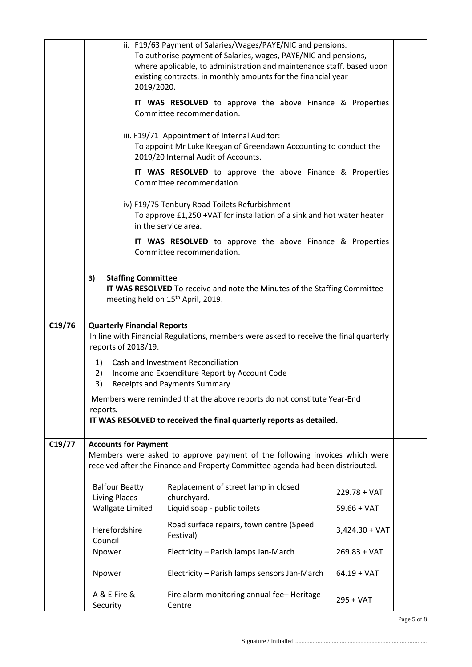|        |                                                                                                              | ii. F19/63 Payment of Salaries/Wages/PAYE/NIC and pensions.                                    |                  |  |
|--------|--------------------------------------------------------------------------------------------------------------|------------------------------------------------------------------------------------------------|------------------|--|
|        |                                                                                                              | To authorise payment of Salaries, wages, PAYE/NIC and pensions,                                |                  |  |
|        |                                                                                                              | where applicable, to administration and maintenance staff, based upon                          |                  |  |
|        |                                                                                                              | existing contracts, in monthly amounts for the financial year                                  |                  |  |
|        | 2019/2020.                                                                                                   |                                                                                                |                  |  |
|        |                                                                                                              |                                                                                                |                  |  |
|        |                                                                                                              | IT WAS RESOLVED to approve the above Finance & Properties<br>Committee recommendation.         |                  |  |
|        |                                                                                                              |                                                                                                |                  |  |
|        |                                                                                                              | iii. F19/71 Appointment of Internal Auditor:                                                   |                  |  |
|        |                                                                                                              | To appoint Mr Luke Keegan of Greendawn Accounting to conduct the                               |                  |  |
|        |                                                                                                              | 2019/20 Internal Audit of Accounts.                                                            |                  |  |
|        |                                                                                                              |                                                                                                |                  |  |
|        |                                                                                                              | IT WAS RESOLVED to approve the above Finance & Properties<br>Committee recommendation.         |                  |  |
|        |                                                                                                              |                                                                                                |                  |  |
|        |                                                                                                              | iv) F19/75 Tenbury Road Toilets Refurbishment                                                  |                  |  |
|        |                                                                                                              | To approve £1,250 +VAT for installation of a sink and hot water heater<br>in the service area. |                  |  |
|        |                                                                                                              | IT WAS RESOLVED to approve the above Finance & Properties                                      |                  |  |
|        |                                                                                                              | Committee recommendation.                                                                      |                  |  |
|        |                                                                                                              |                                                                                                |                  |  |
|        | <b>Staffing Committee</b><br>3)                                                                              |                                                                                                |                  |  |
|        |                                                                                                              | IT WAS RESOLVED To receive and note the Minutes of the Staffing Committee                      |                  |  |
|        |                                                                                                              | meeting held on 15 <sup>th</sup> April, 2019.                                                  |                  |  |
|        |                                                                                                              |                                                                                                |                  |  |
|        |                                                                                                              |                                                                                                |                  |  |
| C19/76 | <b>Quarterly Financial Reports</b>                                                                           |                                                                                                |                  |  |
|        | In line with Financial Regulations, members were asked to receive the final quarterly<br>reports of 2018/19. |                                                                                                |                  |  |
|        |                                                                                                              |                                                                                                |                  |  |
|        | 1)                                                                                                           | Cash and Investment Reconciliation                                                             |                  |  |
|        | 2)                                                                                                           | Income and Expenditure Report by Account Code                                                  |                  |  |
|        | 3)                                                                                                           | <b>Receipts and Payments Summary</b>                                                           |                  |  |
|        | Members were reminded that the above reports do not constitute Year-End                                      |                                                                                                |                  |  |
|        | reports.                                                                                                     |                                                                                                |                  |  |
|        |                                                                                                              | IT WAS RESOLVED to received the final quarterly reports as detailed.                           |                  |  |
|        |                                                                                                              |                                                                                                |                  |  |
| C19/77 | <b>Accounts for Payment</b>                                                                                  |                                                                                                |                  |  |
|        |                                                                                                              | Members were asked to approve payment of the following invoices which were                     |                  |  |
|        |                                                                                                              | received after the Finance and Property Committee agenda had been distributed.                 |                  |  |
|        | <b>Balfour Beatty</b>                                                                                        | Replacement of street lamp in closed                                                           |                  |  |
|        | <b>Living Places</b>                                                                                         | churchyard.                                                                                    | $229.78 + VAT$   |  |
|        | <b>Wallgate Limited</b>                                                                                      | Liquid soap - public toilets                                                                   | $59.66 + VAT$    |  |
|        |                                                                                                              |                                                                                                |                  |  |
|        | Herefordshire                                                                                                | Road surface repairs, town centre (Speed                                                       | $3,424.30 + VAT$ |  |
|        | Council                                                                                                      | Festival)                                                                                      |                  |  |
|        | Npower                                                                                                       | Electricity - Parish lamps Jan-March                                                           | $269.83 + VAT$   |  |
|        |                                                                                                              |                                                                                                |                  |  |
|        | Npower                                                                                                       | Electricity - Parish lamps sensors Jan-March                                                   | $64.19 + VAT$    |  |
|        |                                                                                                              |                                                                                                |                  |  |
|        | A & E Fire &                                                                                                 | Fire alarm monitoring annual fee-Heritage                                                      | 295 + VAT        |  |
|        | Security                                                                                                     | Centre                                                                                         |                  |  |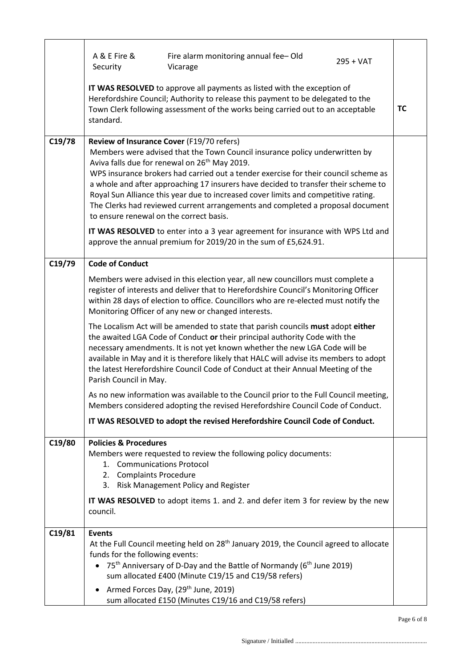|        | A & E Fire &<br>Fire alarm monitoring annual fee-Old<br>$295 + VAT$<br>Security<br>Vicarage                                                                                                                                                                                                                                                                                                                                                                                                                                                                                                                                                                                                                                                                                                                                                                            |  |
|--------|------------------------------------------------------------------------------------------------------------------------------------------------------------------------------------------------------------------------------------------------------------------------------------------------------------------------------------------------------------------------------------------------------------------------------------------------------------------------------------------------------------------------------------------------------------------------------------------------------------------------------------------------------------------------------------------------------------------------------------------------------------------------------------------------------------------------------------------------------------------------|--|
|        | IT WAS RESOLVED to approve all payments as listed with the exception of<br>Herefordshire Council; Authority to release this payment to be delegated to the<br>Town Clerk following assessment of the works being carried out to an acceptable<br>standard.                                                                                                                                                                                                                                                                                                                                                                                                                                                                                                                                                                                                             |  |
| C19/78 | Review of Insurance Cover (F19/70 refers)<br>Members were advised that the Town Council insurance policy underwritten by<br>Aviva falls due for renewal on 26 <sup>th</sup> May 2019.<br>WPS insurance brokers had carried out a tender exercise for their council scheme as<br>a whole and after approaching 17 insurers have decided to transfer their scheme to<br>Royal Sun Alliance this year due to increased cover limits and competitive rating.<br>The Clerks had reviewed current arrangements and completed a proposal document<br>to ensure renewal on the correct basis.<br>IT WAS RESOLVED to enter into a 3 year agreement for insurance with WPS Ltd and<br>approve the annual premium for 2019/20 in the sum of £5,624.91.                                                                                                                            |  |
| C19/79 | <b>Code of Conduct</b>                                                                                                                                                                                                                                                                                                                                                                                                                                                                                                                                                                                                                                                                                                                                                                                                                                                 |  |
|        | Members were advised in this election year, all new councillors must complete a<br>register of interests and deliver that to Herefordshire Council's Monitoring Officer<br>within 28 days of election to office. Councillors who are re-elected must notify the<br>Monitoring Officer of any new or changed interests.<br>The Localism Act will be amended to state that parish councils must adopt either<br>the awaited LGA Code of Conduct or their principal authority Code with the<br>necessary amendments. It is not yet known whether the new LGA Code will be<br>available in May and it is therefore likely that HALC will advise its members to adopt<br>the latest Herefordshire Council Code of Conduct at their Annual Meeting of the<br>Parish Council in May.<br>As no new information was available to the Council prior to the Full Council meeting, |  |
|        | Members considered adopting the revised Herefordshire Council Code of Conduct.                                                                                                                                                                                                                                                                                                                                                                                                                                                                                                                                                                                                                                                                                                                                                                                         |  |
|        | IT WAS RESOLVED to adopt the revised Herefordshire Council Code of Conduct.                                                                                                                                                                                                                                                                                                                                                                                                                                                                                                                                                                                                                                                                                                                                                                                            |  |
| C19/80 | <b>Policies &amp; Procedures</b><br>Members were requested to review the following policy documents:<br>1. Communications Protocol<br>2. Complaints Procedure<br>3. Risk Management Policy and Register<br>IT WAS RESOLVED to adopt items 1. and 2. and defer item 3 for review by the new<br>council.                                                                                                                                                                                                                                                                                                                                                                                                                                                                                                                                                                 |  |
| C19/81 | <b>Events</b>                                                                                                                                                                                                                                                                                                                                                                                                                                                                                                                                                                                                                                                                                                                                                                                                                                                          |  |
|        | At the Full Council meeting held on 28 <sup>th</sup> January 2019, the Council agreed to allocate<br>funds for the following events:<br>• 75 <sup>th</sup> Anniversary of D-Day and the Battle of Normandy (6 <sup>th</sup> June 2019)<br>sum allocated £400 (Minute C19/15 and C19/58 refers)<br>Armed Forces Day, (29 <sup>th</sup> June, 2019)<br>$\bullet$<br>sum allocated £150 (Minutes C19/16 and C19/58 refers)                                                                                                                                                                                                                                                                                                                                                                                                                                                |  |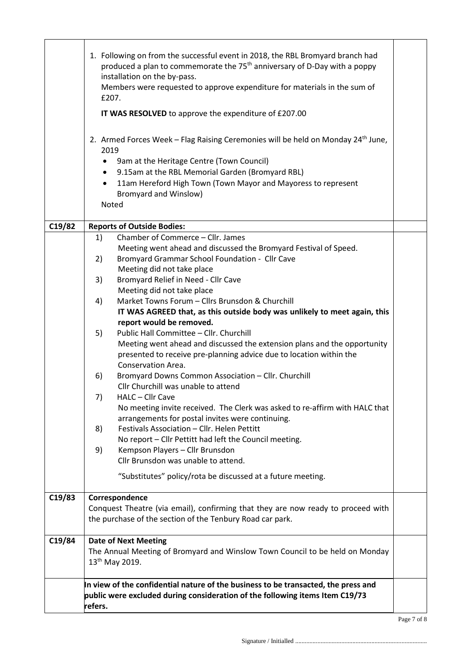|        | 1. Following on from the successful event in 2018, the RBL Bromyard branch had<br>produced a plan to commemorate the 75 <sup>th</sup> anniversary of D-Day with a poppy<br>installation on the by-pass.<br>Members were requested to approve expenditure for materials in the sum of<br>£207.<br>IT WAS RESOLVED to approve the expenditure of £207.00<br>2. Armed Forces Week - Flag Raising Ceremonies will be held on Monday 24 <sup>th</sup> June, |  |  |
|--------|--------------------------------------------------------------------------------------------------------------------------------------------------------------------------------------------------------------------------------------------------------------------------------------------------------------------------------------------------------------------------------------------------------------------------------------------------------|--|--|
|        | 2019                                                                                                                                                                                                                                                                                                                                                                                                                                                   |  |  |
|        | 9am at the Heritage Centre (Town Council)<br>$\bullet$                                                                                                                                                                                                                                                                                                                                                                                                 |  |  |
|        | 9.15am at the RBL Memorial Garden (Bromyard RBL)<br>$\bullet$                                                                                                                                                                                                                                                                                                                                                                                          |  |  |
|        | 11am Hereford High Town (Town Mayor and Mayoress to represent<br>$\bullet$<br><b>Bromyard and Winslow)</b>                                                                                                                                                                                                                                                                                                                                             |  |  |
|        | Noted                                                                                                                                                                                                                                                                                                                                                                                                                                                  |  |  |
|        |                                                                                                                                                                                                                                                                                                                                                                                                                                                        |  |  |
| C19/82 | <b>Reports of Outside Bodies:</b>                                                                                                                                                                                                                                                                                                                                                                                                                      |  |  |
|        | Chamber of Commerce - Cllr. James<br>1)<br>Meeting went ahead and discussed the Bromyard Festival of Speed.                                                                                                                                                                                                                                                                                                                                            |  |  |
|        | Bromyard Grammar School Foundation - Cllr Cave<br>2)                                                                                                                                                                                                                                                                                                                                                                                                   |  |  |
|        | Meeting did not take place                                                                                                                                                                                                                                                                                                                                                                                                                             |  |  |
|        | Bromyard Relief in Need - Cllr Cave<br>3)                                                                                                                                                                                                                                                                                                                                                                                                              |  |  |
|        | Meeting did not take place                                                                                                                                                                                                                                                                                                                                                                                                                             |  |  |
|        | Market Towns Forum - Cllrs Brunsdon & Churchill<br>4)                                                                                                                                                                                                                                                                                                                                                                                                  |  |  |
|        | IT WAS AGREED that, as this outside body was unlikely to meet again, this<br>report would be removed.                                                                                                                                                                                                                                                                                                                                                  |  |  |
|        | Public Hall Committee - Cllr. Churchill<br>5)                                                                                                                                                                                                                                                                                                                                                                                                          |  |  |
|        | Meeting went ahead and discussed the extension plans and the opportunity                                                                                                                                                                                                                                                                                                                                                                               |  |  |
|        | presented to receive pre-planning advice due to location within the                                                                                                                                                                                                                                                                                                                                                                                    |  |  |
|        | Conservation Area.                                                                                                                                                                                                                                                                                                                                                                                                                                     |  |  |
|        | Bromyard Downs Common Association - Cllr. Churchill<br>6)<br>Cllr Churchill was unable to attend                                                                                                                                                                                                                                                                                                                                                       |  |  |
|        | 7)<br>HALC – Cllr Cave                                                                                                                                                                                                                                                                                                                                                                                                                                 |  |  |
|        | No meeting invite received. The Clerk was asked to re-affirm with HALC that                                                                                                                                                                                                                                                                                                                                                                            |  |  |
|        | arrangements for postal invites were continuing.                                                                                                                                                                                                                                                                                                                                                                                                       |  |  |
|        | Festivals Association - Cllr. Helen Pettitt<br>8)                                                                                                                                                                                                                                                                                                                                                                                                      |  |  |
|        | No report - Cllr Pettitt had left the Council meeting.                                                                                                                                                                                                                                                                                                                                                                                                 |  |  |
|        | Kempson Players - Cllr Brunsdon<br>9)<br>Cllr Brunsdon was unable to attend.                                                                                                                                                                                                                                                                                                                                                                           |  |  |
|        |                                                                                                                                                                                                                                                                                                                                                                                                                                                        |  |  |
|        | "Substitutes" policy/rota be discussed at a future meeting.                                                                                                                                                                                                                                                                                                                                                                                            |  |  |
| C19/83 | Correspondence                                                                                                                                                                                                                                                                                                                                                                                                                                         |  |  |
|        | Conquest Theatre (via email), confirming that they are now ready to proceed with                                                                                                                                                                                                                                                                                                                                                                       |  |  |
|        | the purchase of the section of the Tenbury Road car park.                                                                                                                                                                                                                                                                                                                                                                                              |  |  |
| C19/84 | <b>Date of Next Meeting</b>                                                                                                                                                                                                                                                                                                                                                                                                                            |  |  |
|        | The Annual Meeting of Bromyard and Winslow Town Council to be held on Monday                                                                                                                                                                                                                                                                                                                                                                           |  |  |
|        | 13 <sup>th</sup> May 2019.                                                                                                                                                                                                                                                                                                                                                                                                                             |  |  |
|        | In view of the confidential nature of the business to be transacted, the press and                                                                                                                                                                                                                                                                                                                                                                     |  |  |
|        | public were excluded during consideration of the following items Item C19/73                                                                                                                                                                                                                                                                                                                                                                           |  |  |
|        | refers.                                                                                                                                                                                                                                                                                                                                                                                                                                                |  |  |